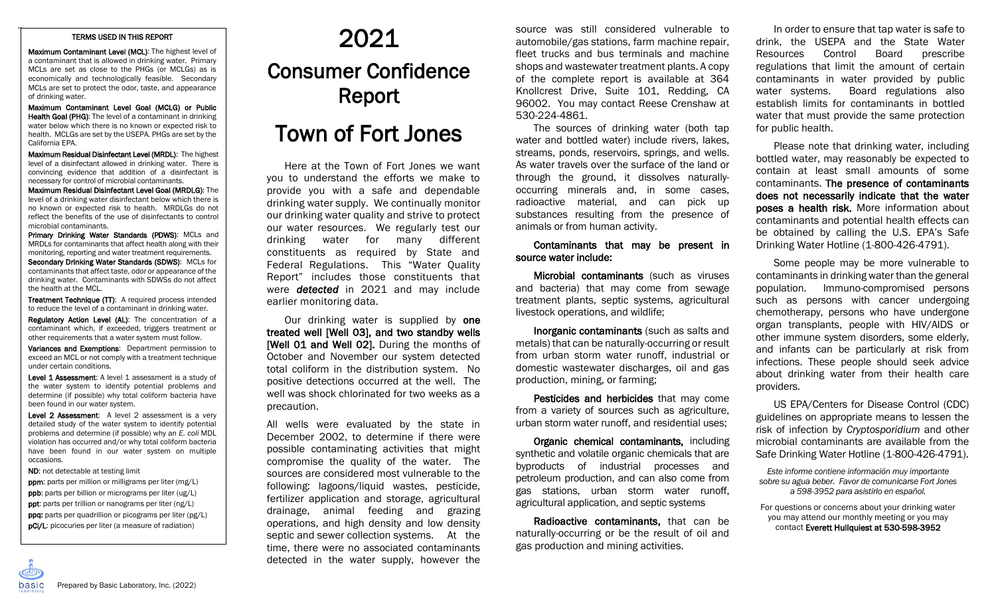## TERMS USED IN THIS REPORT

--

Maximum Contaminant Level (MCL): The highest level of a contaminant that is allowed in drinking water. Primary MCLs are set as close to the PHGs (or MCLGs) as is economically and technologically feasible. Secondary MCLs are set to protect the odor, taste, and appearance of drinking water.

Maximum Contaminant Level Goal (MCLG) or Public **Health Goal (PHG):** The level of a contaminant in drinking water below which there is no known or expected risk to health. MCLGs are set by the USEPA. PHGs are set by the California EPA.

Maximum Residual Disinfectant Level (MRDL): The highest level of a disinfectant allowed in drinking water. There is convincing evidence that addition of a disinfectant is necessary for control of microbial contaminants.

Maximum Residual Disinfectant Level Goal (MRDLG): The level of a drinking water disinfectant below which there is no known or expected risk to health. MRDLGs do not reflect the benefits of the use of disinfectants to control microbial contaminants.

Primary Drinking Water Standards (PDWS): MCLs and MRDLs for contaminants that affect health along with their monitoring, reporting and water treatment requirements. Secondary Drinking Water Standards (SDWS): MCLs for contaminants that affect taste, odor or appearance of the drinking water. Contaminants with SDWSs do not affect the health at the MCL.

Treatment Technique (TT): A required process intended to reduce the level of a contaminant in drinking water.

Regulatory Action Level (AL): The concentration of a contaminant which, if exceeded, triggers treatment or other requirements that a water system must follow.

Variances and Exemptions: Department permission to exceed an MCL or not comply with a treatment technique under certain conditions.

Level 1 Assessment: A level 1 assessment is a study of the water system to identify potential problems and determine (if possible) why total coliform bacteria have been found in our water system.

Level 2 Assessment: A level 2 assessment is a very detailed study of the water system to identify potential problems and determine (if possible) why an *E. coli* MDL violation has occurred and/or why total coliform bacteria have been found in our water system on multiple occasions.

ND: not detectable at testing limit

ppm: parts per million or milligrams per liter (mg/L)

- ppb: parts per billion or micrograms per liter (ug/L)
- pg<br>gr:<br>bio ppt: parts per trillion or nanograms per liter (ng/L)
- ppq: parts per quadrillion or picograms per liter (pg/L) pCi/L: picocuries per liter (a measure of radiation)

 $\overline{ }$ 

## 2021 Consumer Confidence Report

## Town of Fort Jones

Here at the Town of Fort Jones we want you to understand the efforts we make to provide you with a safe and dependable drinking water supply. We continually monitor our drinking water quality and strive to protect our water resources. We regularly test our drinking water for many different constituents as required by State and Federal Regulations. This "Water Quality Report" includes those constituents that were *detected* in 2021 and may include earlier monitoring data.

Our drinking water is supplied by **one** treated well [Well 03], and two standby wells [Well 01 and Well 02]. During the months of October and November our system detected total coliform in the distribution system. No positive detections occurred at the well. The well was shock chlorinated for two weeks as a precaution.

All wells were evaluated by the state in December 2002, to determine if there were possible contaminating activities that might compromise the quality of the water. The sources are considered most vulnerable to the following: lagoons/liquid wastes, pesticide, fertilizer application and storage, agricultural drainage, animal feeding and grazing operations, and high density and low density septic and sewer collection systems. At the time, there were no associated contaminants detected in the water supply, however the source was still considered vulnerable to automobile/gas stations, farm machine repair, fleet trucks and bus terminals and machine shops and wastewater treatment plants. A copy of the complete report is available at 364 Knollcrest Drive, Suite 101, Redding, CA 96002. You may contact Reese Crenshaw at 530-224-4861.

The sources of drinking water (both tap water and bottled water) include rivers, lakes, streams, ponds, reservoirs, springs, and wells. As water travels over the surface of the land or through the ground, it dissolves naturallyoccurring minerals and, in some cases, radioactive material, and can pick up substances resulting from the presence of animals or from human activity.

## Contaminants that may be present in source water include:

Microbial contaminants (such as viruses and bacteria) that may come from sewage treatment plants, septic systems, agricultural livestock operations, and wildlife;

Inorganic contaminants (such as salts and metals) that can be naturally-occurring or result from urban storm water runoff, industrial or domestic wastewater discharges, oil and gas production, mining, or farming;

Pesticides and herbicides that may come from a variety of sources such as agriculture, urban storm water runoff, and residential uses;

Organic chemical contaminants, including synthetic and volatile organic chemicals that are byproducts of industrial processes and petroleum production, and can also come from gas stations, urban storm water runoff, agricultural application, and septic systems

Radioactive contaminants, that can be naturally-occurring or be the result of oil and gas production and mining activities.

In order to ensure that tap water is safe to drink, the USEPA and the State Water Resources Control Board prescribe regulations that limit the amount of certain contaminants in water provided by public water systems. Board regulations also establish limits for contaminants in bottled water that must provide the same protection for public health.

Please note that drinking water, including bottled water, may reasonably be expected to contain at least small amounts of some contaminants. The presence of contaminants does not necessarily indicate that the water poses a health risk. More information about contaminants and potential health effects can be obtained by calling the U.S. EPA's Safe Drinking Water Hotline (1-800-426-4791).

Some people may be more vulnerable to contaminants in drinking water than the general population. Immuno-compromised persons such as persons with cancer undergoing chemotherapy, persons who have undergone organ transplants, people with HIV/AIDS or other immune system disorders, some elderly, and infants can be particularly at risk from infections. These people should seek advice about drinking water from their health care providers.

US EPA/Centers for Disease Control (CDC) guidelines on appropriate means to lessen the risk of infection by *Cryptosporidium* and other microbial contaminants are available from the Safe Drinking Water Hotline (1-800-426-4791).

*Este informe contiene información muy importante sobre su agua beber. Favor de comunicarse Fort Jones a 598-3952 para asistirlo en español.*

For questions or concerns about your drinking water you may attend our monthly meeting or you may contact Everett Hullquiest at 530-598-3952